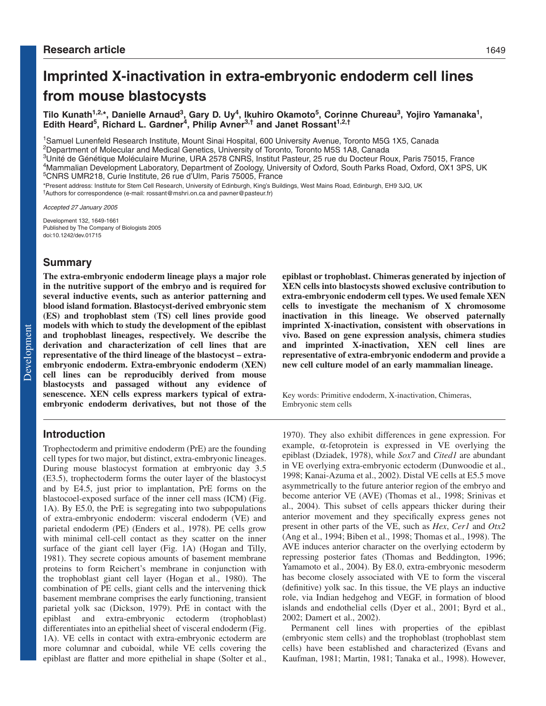# **Imprinted X-inactivation in extra-embryonic endoderm cell lines from mouse blastocysts**

**Tilo Kunath1,2,\*, Danielle Arnaud3, Gary D. Uy4, Ikuhiro Okamoto5, Corinne Chureau3, Yojiro Yamanaka1,** Edith Heard<sup>5</sup>, Richard L. Gardner<sup>4</sup>, Philip Avner<sup>3,†</sup> and Janet Rossant<sup>1,2,†</sup>

1Samuel Lunenfeld Research Institute, Mount Sinai Hospital, 600 University Avenue, Toronto M5G 1X5, Canada 2Department of Molecular and Medical Genetics, University of Toronto, Toronto M5S 1A8, Canada

3Unité de Génétique Moléculaire Murine, URA 2578 CNRS, Institut Pasteur, 25 rue du Docteur Roux, Paris 75015, France 4Mammalian Development Laboratory, Department of Zoology, University of Oxford, South Parks Road, Oxford, OX1 3PS, UK 5CNRS UMR218, Curie Institute, 26 rue d'Ulm, Paris 75005, France

\*Present address: Institute for Stem Cell Research, University of Edinburgh, King's Buildings, West Mains Road, Edinburgh, EH9 3JQ, UK †<br>†Authors for correspondence (e-mail: rossant@mshri.on.ca and pavner@pasteur.fr)

Accepted 27 January 2005

Development 132, 1649-1661 Published by The Company of Biologists 2005 doi:10.1242/dev.01715

# **Summary**

**The extra-embryonic endoderm lineage plays a major role in the nutritive support of the embryo and is required for several inductive events, such as anterior patterning and blood island formation. Blastocyst-derived embryonic stem (ES) and trophoblast stem (TS) cell lines provide good models with which to study the development of the epiblast and trophoblast lineages, respectively. We describe the derivation and characterization of cell lines that are representative of the third lineage of the blastocyst – extraembryonic endoderm. Extra-embryonic endoderm (XEN) cell lines can be reproducibly derived from mouse blastocysts and passaged without any evidence of senescence. XEN cells express markers typical of extraembryonic endoderm derivatives, but not those of the**

# **Introduction**

Trophectoderm and primitive endoderm (PrE) are the founding cell types for two major, but distinct, extra-embryonic lineages. During mouse blastocyst formation at embryonic day 3.5 (E3.5), trophectoderm forms the outer layer of the blastocyst and by E4.5, just prior to implantation, PrE forms on the blastocoel-exposed surface of the inner cell mass (ICM) (Fig. 1A). By E5.0, the PrE is segregating into two subpopulations of extra-embryonic endoderm: visceral endoderm (VE) and parietal endoderm (PE) (Enders et al., 1978). PE cells grow with minimal cell-cell contact as they scatter on the inner surface of the giant cell layer (Fig. 1A) (Hogan and Tilly, 1981). They secrete copious amounts of basement membrane proteins to form Reichert's membrane in conjunction with the trophoblast giant cell layer (Hogan et al., 1980). The combination of PE cells, giant cells and the intervening thick basement membrane comprises the early functioning, transient parietal yolk sac (Dickson, 1979). PrE in contact with the epiblast and extra-embryonic ectoderm (trophoblast) differentiates into an epithelial sheet of visceral endoderm (Fig. 1A). VE cells in contact with extra-embryonic ectoderm are more columnar and cuboidal, while VE cells covering the epiblast are flatter and more epithelial in shape (Solter et al., **epiblast or trophoblast. Chimeras generated by injection of XEN cells into blastocysts showed exclusive contribution to extra-embryonic endoderm cell types. We used female XEN cells to investigate the mechanism of X chromosome inactivation in this lineage. We observed paternally imprinted X-inactivation, consistent with observations in vivo. Based on gene expression analysis, chimera studies and imprinted X-inactivation, XEN cell lines are representative of extra-embryonic endoderm and provide a new cell culture model of an early mammalian lineage.**

Key words: Primitive endoderm, X-inactivation, Chimeras, Embryonic stem cells

1970). They also exhibit differences in gene expression. For example,  $\alpha$ -fetoprotein is expressed in VE overlying the epiblast (Dziadek, 1978), while *Sox7* and *Cited1* are abundant in VE overlying extra-embryonic ectoderm (Dunwoodie et al., 1998; Kanai-Azuma et al., 2002). Distal VE cells at E5.5 move asymmetrically to the future anterior region of the embryo and become anterior VE (AVE) (Thomas et al., 1998; Srinivas et al., 2004). This subset of cells appears thicker during their anterior movement and they specifically express genes not present in other parts of the VE, such as *Hex*, *Cer1* and *Otx2* (Ang et al., 1994; Biben et al., 1998; Thomas et al., 1998). The AVE induces anterior character on the overlying ectoderm by repressing posterior fates (Thomas and Beddington, 1996; Yamamoto et al., 2004). By E8.0, extra-embryonic mesoderm has become closely associated with VE to form the visceral (definitive) yolk sac. In this tissue, the VE plays an inductive role, via Indian hedgehog and VEGF, in formation of blood islands and endothelial cells (Dyer et al., 2001; Byrd et al., 2002; Damert et al., 2002).

Permanent cell lines with properties of the epiblast (embryonic stem cells) and the trophoblast (trophoblast stem cells) have been established and characterized (Evans and Kaufman, 1981; Martin, 1981; Tanaka et al., 1998). However,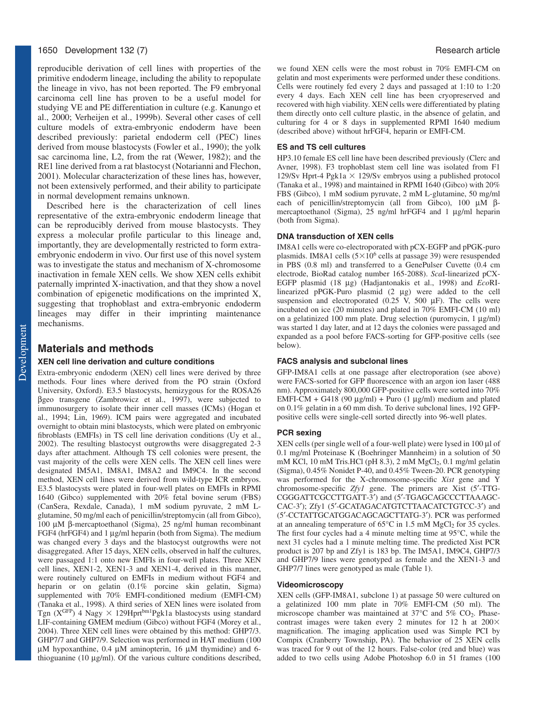# 1650 Development 132 (7) Research article

reproducible derivation of cell lines with properties of the primitive endoderm lineage, including the ability to repopulate the lineage in vivo, has not been reported. The F9 embryonal carcinoma cell line has proven to be a useful model for studying VE and PE differentiation in culture (e.g. Kanungo et al., 2000; Verheijen et al., 1999b). Several other cases of cell culture models of extra-embryonic endoderm have been described previously: parietal endoderm cell (PEC) lines derived from mouse blastocysts (Fowler et al., 1990); the yolk sac carcinoma line, L2, from the rat (Wewer, 1982); and the RE1 line derived from a rat blastocyst (Notarianni and Flechon, 2001). Molecular characterization of these lines has, however, not been extensively performed, and their ability to participate in normal development remains unknown.

Described here is the characterization of cell lines representative of the extra-embryonic endoderm lineage that can be reproducibly derived from mouse blastocysts. They express a molecular profile particular to this lineage and, importantly, they are developmentally restricted to form extraembryonic endoderm in vivo. Our first use of this novel system was to investigate the status and mechanism of X-chromosome inactivation in female XEN cells. We show XEN cells exhibit paternally imprinted X-inactivation, and that they show a novel combination of epigenetic modifications on the imprinted X, suggesting that trophoblast and extra-embryonic endoderm lineages may differ in their imprinting maintenance mechanisms.

# **Materials and methods**

#### **XEN cell line derivation and culture conditions**

Extra-embryonic endoderm (XEN) cell lines were derived by three methods. Four lines where derived from the PO strain (Oxford University, Oxford). E3.5 blastocysts, hemizygous for the ROSA26 βgeo transgene (Zambrowicz et al., 1997), were subjected to immunosurgery to isolate their inner cell masses (ICMs) (Hogan et al., 1994; Lin, 1969). ICM pairs were aggregated and incubated overnight to obtain mini blastocysts, which were plated on embryonic fibroblasts (EMFIs) in TS cell line derivation conditions (Uy et al., 2002). The resulting blastocyst outgrowths were disaggregated 2-3 days after attachment. Although TS cell colonies were present, the vast majority of the cells were XEN cells. The XEN cell lines were designated IM5A1, IM8A1, IM8A2 and IM9C4. In the second method, XEN cell lines were derived from wild-type ICR embryos. E3.5 blastocysts were plated in four-well plates on EMFIs in RPMI 1640 (Gibco) supplemented with 20% fetal bovine serum (FBS) (CanSera, Rexdale, Canada), 1 mM sodium pyruvate, 2 mM Lglutamine, 50 mg/ml each of penicillin/streptomycin (all from Gibco), 100 µM β-mercaptoethanol (Sigma), 25 ng/ml human recombinant FGF4 (hrFGF4) and 1 µg/ml heparin (both from Sigma). The medium was changed every 3 days and the blastocyst outgrowths were not disaggregated. After 15 days, XEN cells, observed in half the cultures, were passaged 1:1 onto new EMFIs in four-well plates. Three XEN cell lines, XEN1-2, XEN1-3 and XEN1-4, derived in this manner, were routinely cultured on EMFIs in medium without FGF4 and heparin or on gelatin (0.1% porcine skin gelatin, Sigma) supplemented with 70% EMFI-conditioned medium (EMFI-CM) (Tanaka et al., 1998). A third series of XEN lines were isolated from Tgn ( $X^{GFP}$ ) 4 Nagy  $\times$  129Hprt<sup>bm1</sup>Pgk1a blastocysts using standard LIF-containing GMEM medium (Gibco) without FGF4 (Morey et al., 2004). Three XEN cell lines were obtained by this method: GHP7/3. GHP7/7 and GHP7/9. Selection was performed in HAT medium (100  $\mu$ M hypoxanthine, 0.4  $\mu$ M aminopterin, 16  $\mu$ M thymidine) and 6thioguanine (10 µg/ml). Of the various culture conditions described, we found XEN cells were the most robust in 70% EMFI-CM on gelatin and most experiments were performed under these conditions. Cells were routinely fed every 2 days and passaged at 1:10 to 1:20 every 4 days. Each XEN cell line has been cryopreserved and recovered with high viability. XEN cells were differentiated by plating them directly onto cell culture plastic, in the absence of gelatin, and culturing for 4 or 8 days in supplemented RPMI 1640 medium (described above) without hrFGF4, heparin or EMFI-CM.

# **ES and TS cell cultures**

HP3.10 female ES cell line have been described previously (Clerc and Avner, 1998). F3 trophoblast stem cell line was isolated from F1 129/Sv Hprt-4 Pgk1a  $\times$  129/Sv embryos using a published protocol (Tanaka et al., 1998) and maintained in RPMI 1640 (Gibco) with 20% FBS (Gibco), 1 mM sodium pyruvate, 2 mM L-glutamine, 50 mg/ml each of penicillin/streptomycin (all from Gibco), 100 µM βmercaptoethanol (Sigma), 25 ng/ml hrFGF4 and 1 µg/ml heparin (both from Sigma).

#### **DNA transduction of XEN cells**

IM8A1 cells were co-electroporated with pCX-EGFP and pPGK-puro plasmids. IM8A1 cells  $(5\times10^6 \text{ cells at passage } 39)$  were resuspended in PBS (0.8 ml) and transferred to a GenePulser Cuvette (0.4 cm electrode, BioRad catalog number 165-2088). *Sca*I-linearized pCX-EGFP plasmid (18 µg) (Hadjantonakis et al., 1998) and *Eco*RIlinearized pPGK-Puro plasmid (2 µg) were added to the cell suspension and electroporated (0.25 V, 500  $\mu$ F). The cells were incubated on ice (20 minutes) and plated in 70% EMFI-CM (10 ml) on a gelatinized 100 mm plate. Drug selection (puromycin, 1 µg/ml) was started 1 day later, and at 12 days the colonies were passaged and expanded as a pool before FACS-sorting for GFP-positive cells (see below).

#### **FACS analysis and subclonal lines**

GFP-IM8A1 cells at one passage after electroporation (see above) were FACS-sorted for GFP fluorescence with an argon ion laser (488 nm). Approximately 800,000 GFP-positive cells were sorted into 70% EMFI-CM + G418 (90 µg/ml) + Puro (1 µg/ml) medium and plated on 0.1% gelatin in a 60 mm dish. To derive subclonal lines, 192 GFPpositive cells were single-cell sorted directly into 96-well plates.

#### **PCR sexing**

XEN cells (per single well of a four-well plate) were lysed in 100 µl of 0.1 mg/ml Proteinase K (Boehringer Mannheim) in a solution of 50 mM KCl, 10 mM Tris.HCl (pH  $8.3$ ), 2 mM MgCl<sub>2</sub>, 0.1 mg/ml gelatin (Sigma), 0.45% Nonidet P-40, and 0.45% Tween-20. PCR genotyping was performed for the X-chromosome-specific *Xist* gene and Y chromosome-specific *Zfy1* gene. The primers are Xist (5′-TTG-CGGGATTCGCCTTGATT-3′) and (5′-TGAGCAGCCCTTAAAGC-CAC-3′); Zfy1 (5′-GCATAGACATGTCTTAACATCTGTCC-3′) and (5′-CCTATTGCATGGACAGCAGCTTATG-3′). PCR was performed at an annealing temperature of  $65^{\circ}$ C in 1.5 mM MgCl<sub>2</sub> for 35 cycles. The first four cycles had a 4 minute melting time at 95°C, while the next 31 cycles had a 1 minute melting time. The predicted Xist PCR product is 207 bp and Zfy1 is 183 bp. The IM5A1, IM9C4, GHP7/3 and GHP7/9 lines were genotyped as female and the XEN1-3 and GHP7/7 lines were genotyped as male (Table 1).

#### **Videomicroscopy**

XEN cells (GFP-IM8A1, subclone 1) at passage 50 were cultured on a gelatinized 100 mm plate in 70% EMFI-CM (50 ml). The microscope chamber was maintained at  $37^{\circ}$ C and  $5\%$  CO<sub>2</sub>. Phasecontrast images were taken every 2 minutes for 12 h at  $200 \times$ magnification. The imaging application used was Simple PCI by Compix (Cranberry Township, PA). The behavior of 25 XEN cells was traced for 9 out of the 12 hours. False-color (red and blue) was added to two cells using Adobe Photoshop 6.0 in 51 frames (100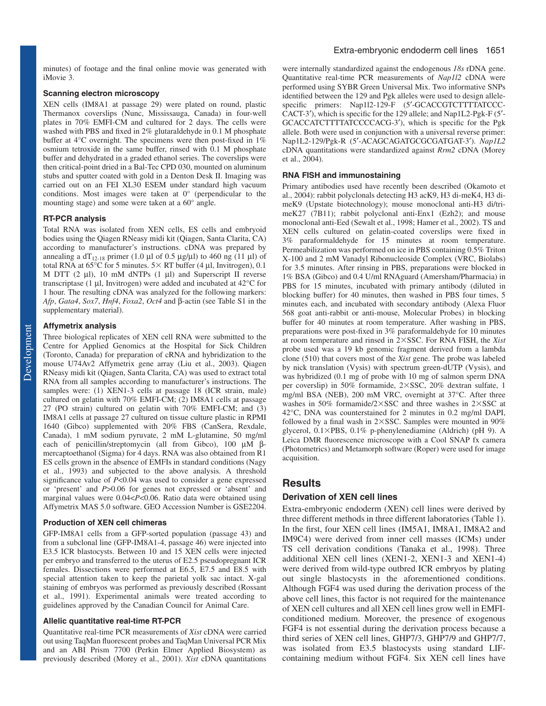minutes) of footage and the final online movie was generated with iMovie 3.

#### **Scanning electron microscopy**

XEN cells (IM8A1 at passage 29) were plated on round, plastic Thermanox coverslips (Nunc, Mississauga, Canada) in four-well plates in 70% EMFI-CM and cultured for 2 days. The cells were washed with PBS and fixed in 2% glutaraldehyde in 0.1 M phosphate buffer at 4°C overnight. The specimens were then post-fixed in 1% osmium tetroxide in the same buffer, rinsed with 0.1 M phosphate buffer and dehydrated in a graded ethanol series. The coverslips were then critical-point dried in a Bal-Tec CPD 030, mounted on aluminum stubs and sputter coated with gold in a Denton Desk II. Imaging was carried out on an FEI XL30 ESEM under standard high vacuum conditions. Most images were taken at 0° (perpendicular to the mounting stage) and some were taken at a 60° angle.

#### **RT-PCR analysis**

Total RNA was isolated from XEN cells, ES cells and embryoid bodies using the Qiagen RNeasy midi kit (Qiagen, Santa Clarita, CA) according to manufacturer's instructions. cDNA was prepared by annealing a  $dT_{12-18}$  primer (1.0 µl of 0.5 µg/µl) to 460 ng (11 µl) of total RNA at  $65^{\circ}$ C for 5 minutes.  $5 \times RT$  buffer (4 µl, Invitrogen), 0.1 M DTT  $(2 \mu l)$ , 10 mM dNTPs  $(1 \mu l)$  and Superscript II reverse transcriptase (1 µl, Invitrogen) were added and incubated at 42°C for 1 hour. The resulting cDNA was analyzed for the following markers: *Afp*, *Gata4*, *Sox7*, *Hnf4*, *Foxa2*, *Oct4* and β-actin (see Table S1 in the supplementary material).

#### **Affymetrix analysis**

Three biological replicates of XEN cell RNA were submitted to the Centre for Applied Genomics at the Hospital for Sick Children (Toronto, Canada) for preparation of cRNA and hybridization to the mouse U74Av2 Affymetrix gene array (Liu et al., 2003). Qiagen RNeasy midi kit (Qiagen, Santa Clarita, CA) was used to extract total RNA from all samples according to manufacturer's instructions. The samples were: (1) XEN1-3 cells at passage 18 (ICR strain, male) cultured on gelatin with 70% EMFI-CM; (2) IM8A1 cells at passage 27 (PO strain) cultured on gelatin with 70% EMFI-CM; and (3) IM8A1 cells at passage 27 cultured on tissue culture plastic in RPMI 1640 (Gibco) supplemented with 20% FBS (CanSera, Rexdale, Canada), 1 mM sodium pyruvate, 2 mM L-glutamine, 50 mg/ml each of penicillin/streptomycin (all from Gibco), 100 µM βmercaptoethanol (Sigma) for 4 days. RNA was also obtained from R1 ES cells grown in the absence of EMFIs in standard conditions (Nagy et al., 1993) and subjected to the above analysis. A threshold significance value of *P*<0.04 was used to consider a gene expressed or 'present' and *P*>0.06 for genes not expressed or 'absent' and marginal values were 0.04<*P*<0.06. Ratio data were obtained using Affymetrix MAS 5.0 software. GEO Accession Number is GSE2204.

#### **Production of XEN cell chimeras**

GFP-IM8A1 cells from a GFP-sorted population (passage 43) and from a subclonal line (GFP-IM8A1-4, passage 46) were injected into E3.5 ICR blastocysts. Between 10 and 15 XEN cells were injected per embryo and transferred to the uterus of E2.5 pseudopregnant ICR females. Dissections were performed at E6.5, E7.5 and E8.5 with special attention taken to keep the parietal yolk sac intact. X-gal staining of embryos was performed as previously described (Rossant et al., 1991). Experimental animals were treated according to guidelines approved by the Canadian Council for Animal Care.

#### **Allelic quantitative real-time RT-PCR**

Quantitative real-time PCR measurements of *Xist* cDNA were carried out using TaqMan fluorescent probes and TaqMan Universal PCR Mix and an ABI Prism 7700 (Perkin Elmer Applied Biosystem) as previously described (Morey et al., 2001). *Xist* cDNA quantitations

were internally standardized against the endogenous *18s* rDNA gene. Quantitative real-time PCR measurements of *Nap1l2* cDNA were performed using SYBR Green Universal Mix. Two informative SNPs identified between the 129 and Pgk alleles were used to design allelespecific primers: Nap1l2-129-F (5'-GCACCGTCTTTTATCCC-CACT-3′), which is specific for the 129 allele; and Nap1L2-Pgk-F (5′- GCACCATCTTTTATCCCCACG-3′), which is specific for the Pgk allele. Both were used in conjunction with a universal reverse primer: Nap1L2-129/Pgk-R (5′-ACAGCAGATGCGCGATGAT-3′). *Nap1L2* cDNA quantitations were standardized against *Rrm2* cDNA (Morey et al., 2004).

#### **RNA FISH and immunostaining**

Primary antibodies used have recently been described (Okamoto et al., 2004): rabbit polyclonals detecting H3 acK9, H3 di-meK4, H3 dimeK9 (Upstate biotechnology); mouse monoclonal anti-H3 di/trimeK27 (7B11); rabbit polyclonal anti-Enx1 (Ezh2); and mouse monoclonal anti-Eed (Sewalt et al., 1998; Hamer et al., 2002). TS and XEN cells cultured on gelatin-coated coverslips were fixed in 3% paraformaldehyde for 15 minutes at room temperature. Permeabilization was performed on ice in PBS containing 0.5% Triton X-100 and 2 mM Vanadyl Ribonucleoside Complex (VRC, Biolabs) for 3.5 minutes. After rinsing in PBS, preparations were blocked in 1% BSA (Gibco) and 0.4 U/ml RNAguard (Amersham/Pharmacia) in PBS for 15 minutes, incubated with primary antibody (diluted in blocking buffer) for 40 minutes, then washed in PBS four times, 5 minutes each, and incubated with secondary antibody (Alexa Fluor 568 goat anti-rabbit or anti-mouse, Molecular Probes) in blocking buffer for 40 minutes at room temperature. After washing in PBS, preparations were post-fixed in 3% paraformaldehyde for 10 minutes at room temperature and rinsed in 2SSC. For RNA FISH, the *Xist* probe used was a 19 kb genomic fragment derived from a lambda clone (510) that covers most of the *Xist* gene. The probe was labeled by nick translation (Vysis) with spectrum green-dUTP (Vysis), and was hybridized (0.1 mg of probe with 10 mg of salmon sperm DNA per coverslip) in 50% formamide, 2SSC, 20% dextran sulfate, 1 mg/ml BSA (NEB), 200 mM VRC, overnight at 37°C. After three washes in 50% formamide/2 $\times$ SSC and three washes in 2 $\times$ SSC at 42°C, DNA was counterstained for 2 minutes in 0.2 mg/ml DAPI, followed by a final wash in  $2\times$ SSC. Samples were mounted in  $90\%$ glycerol,  $0.1 \times PBS$ ,  $0.1\%$  p-phenylenediamine (Aldrich) (pH 9). A Leica DMR fluorescence microscope with a Cool SNAP fx camera (Photometrics) and Metamorph software (Roper) were used for image acquisition.

#### **Results**

#### **Derivation of XEN cell lines**

Extra-embryonic endoderm (XEN) cell lines were derived by three different methods in three different laboratories (Table 1). In the first, four XEN cell lines (IM5A1, IM8A1, IM8A2 and IM9C4) were derived from inner cell masses (ICMs) under TS cell derivation conditions (Tanaka et al., 1998). Three additional XEN cell lines (XEN1-2, XEN1-3 and XEN1-4) were derived from wild-type outbred ICR embryos by plating out single blastocysts in the aforementioned conditions. Although FGF4 was used during the derivation process of the above cell lines, this factor is not required for the maintenance of XEN cell cultures and all XEN cell lines grow well in EMFIconditioned medium. Moreover, the presence of exogenous FGF4 is not essential during the derivation process because a third series of XEN cell lines, GHP7/3, GHP7/9 and GHP7/7, was isolated from E3.5 blastocysts using standard LIFcontaining medium without FGF4. Six XEN cell lines have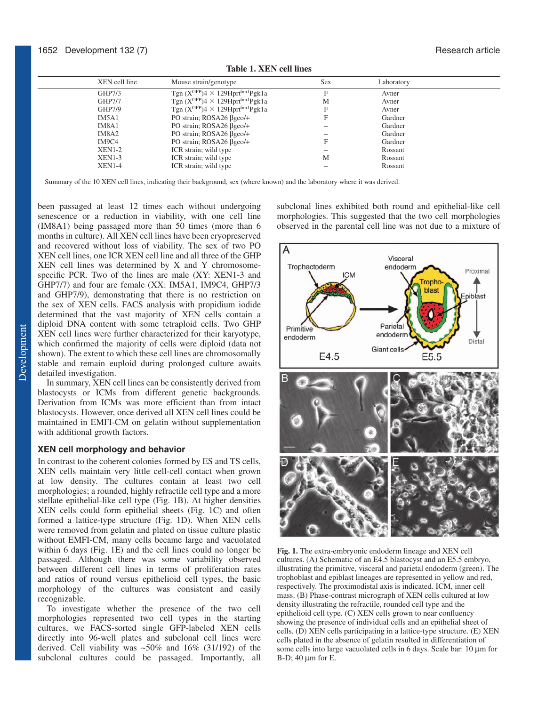| XEN cell line | Mouse strain/genotype                                        | Sex | Laboratory |
|---------------|--------------------------------------------------------------|-----|------------|
| GHP7/3        | Tgn $(X^{\text{GFP}})4 \times 129$ Hprt <sup>bm1</sup> Pgk1a | F   | Avner      |
| <b>GHP7/7</b> | Tgn $(X^{GFP})$ 4 × 129Hprt <sup>bm1</sup> Pgk1a             | M   | Avner      |
| GHP7/9        | Tgn $(X^{GFP})$ 4 × 129Hprt <sup>bm1</sup> Pgk1a             | F   | Avner      |
| IM5A1         | PO strain; $ROSA26 \beta$ geo/+                              | F   | Gardner    |
| IM8A1         | PO strain; ROSA26 βgeo/+                                     |     | Gardner    |
| IM8A2         | PO strain; $ROSA26 \beta$ geo/+                              |     | Gardner    |
| IM9C4         | PO strain; $ROSA26 \beta$ geo/+                              | F   | Gardner    |
| $XEN1-2$      | ICR strain; wild type                                        |     | Rossant    |
| $XEN1-3$      | ICR strain; wild type                                        | M   | Rossant    |
| $XEN1-4$      | ICR strain; wild type                                        |     | Rossant    |

**Table 1. XEN cell lines**

been passaged at least 12 times each without undergoing senescence or a reduction in viability, with one cell line (IM8A1) being passaged more than 50 times (more than 6 months in culture). All XEN cell lines have been cryopreserved and recovered without loss of viability. The sex of two PO XEN cell lines, one ICR XEN cell line and all three of the GHP XEN cell lines was determined by X and Y chromosomespecific PCR. Two of the lines are male (XY: XEN1-3 and GHP7/7) and four are female (XX: IM5A1, IM9C4, GHP7/3 and GHP7/9), demonstrating that there is no restriction on the sex of XEN cells. FACS analysis with propidium iodide determined that the vast majority of XEN cells contain a diploid DNA content with some tetraploid cells. Two GHP XEN cell lines were further characterized for their karyotype, which confirmed the majority of cells were diploid (data not shown). The extent to which these cell lines are chromosomally stable and remain euploid during prolonged culture awaits detailed investigation.

In summary, XEN cell lines can be consistently derived from blastocysts or ICMs from different genetic backgrounds. Derivation from ICMs was more efficient than from intact blastocysts. However, once derived all XEN cell lines could be maintained in EMFI-CM on gelatin without supplementation with additional growth factors.

# **XEN cell morphology and behavior**

In contrast to the coherent colonies formed by ES and TS cells, XEN cells maintain very little cell-cell contact when grown at low density. The cultures contain at least two cell morphologies; a rounded, highly refractile cell type and a more stellate epithelial-like cell type (Fig. 1B). At higher densities XEN cells could form epithelial sheets (Fig. 1C) and often formed a lattice-type structure (Fig. 1D). When XEN cells were removed from gelatin and plated on tissue culture plastic without EMFI-CM, many cells became large and vacuolated within 6 days (Fig. 1E) and the cell lines could no longer be passaged. Although there was some variability observed between different cell lines in terms of proliferation rates and ratios of round versus epithelioid cell types, the basic morphology of the cultures was consistent and easily recognizable.

To investigate whether the presence of the two cell morphologies represented two cell types in the starting cultures, we FACS-sorted single GFP-labeled XEN cells directly into 96-well plates and subclonal cell lines were derived. Cell viability was ~50% and 16% (31/192) of the subclonal cultures could be passaged. Importantly, all

subclonal lines exhibited both round and epithelial-like cell morphologies. This suggested that the two cell morphologies observed in the parental cell line was not due to a mixture of



**Fig. 1.** The extra-embryonic endoderm lineage and XEN cell cultures. (A) Schematic of an E4.5 blastocyst and an E5.5 embryo, illustrating the primitive, visceral and parietal endoderm (green). The trophoblast and epiblast lineages are represented in yellow and red, respectively. The proximodistal axis is indicated. ICM, inner cell mass. (B) Phase-contrast micrograph of XEN cells cultured at low density illustrating the refractile, rounded cell type and the epithelioid cell type. (C) XEN cells grown to near confluency showing the presence of individual cells and an epithelial sheet of cells. (D) XEN cells participating in a lattice-type structure. (E) XEN cells plated in the absence of gelatin resulted in differentiation of some cells into large vacuolated cells in 6 days. Scale bar: 10  $\mu$ m for  $B-D$ ; 40  $\mu$ m for E.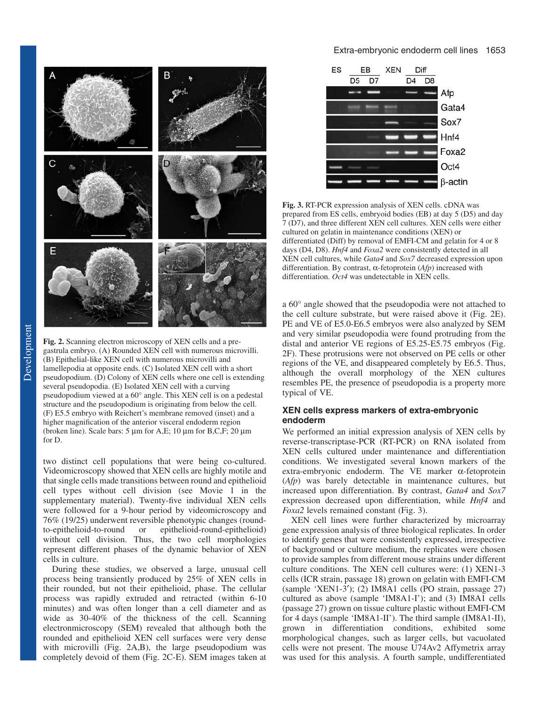

**Fig. 2.** Scanning electron microscopy of XEN cells and a pregastrula embryo. (A) Rounded XEN cell with numerous microvilli. (B) Epithelial-like XEN cell with numerous microvilli and lamellepodia at opposite ends. (C) Isolated XEN cell with a short pseudopodium. (D) Colony of XEN cells where one cell is extending several pseudopodia. (E) Isolated XEN cell with a curving pseudopodium viewed at a 60° angle. This XEN cell is on a pedestal structure and the pseudopodium is originating from below the cell. (F) E5.5 embryo with Reichert's membrane removed (inset) and a higher magnification of the anterior visceral endoderm region (broken line). Scale bars:  $5 \mu m$  for A,E; 10  $\mu m$  for B,C,F; 20  $\mu m$ for D.

two distinct cell populations that were being co-cultured. Videomicroscopy showed that XEN cells are highly motile and that single cells made transitions between round and epithelioid cell types without cell division (see Movie 1 in the supplementary material). Twenty-five individual XEN cells were followed for a 9-hour period by videomicroscopy and 76% (19/25) underwent reversible phenotypic changes (roundto-epithelioid-to-round or epithelioid-round-epithelioid) without cell division. Thus, the two cell morphologies represent different phases of the dynamic behavior of XEN cells in culture.

During these studies, we observed a large, unusual cell process being transiently produced by 25% of XEN cells in their rounded, but not their epithelioid, phase. The cellular process was rapidly extruded and retracted (within 6-10 minutes) and was often longer than a cell diameter and as wide as 30-40% of the thickness of the cell. Scanning electronmicroscopy (SEM) revealed that although both the rounded and epithelioid XEN cell surfaces were very dense with microvilli (Fig. 2A,B), the large pseudopodium was completely devoid of them (Fig. 2C-E). SEM images taken at

# Extra-embryonic endoderm cell lines 1653



**Fig. 3.** RT-PCR expression analysis of XEN cells. cDNA was prepared from ES cells, embryoid bodies (EB) at day 5 (D5) and day 7 (D7), and three different XEN cell cultures. XEN cells were either cultured on gelatin in maintenance conditions (XEN) or differentiated (Diff) by removal of EMFI-CM and gelatin for 4 or 8 days (D4, D8). *Hnf4* and *Foxa2* were consistently detected in all XEN cell cultures, while *Gata4* and *Sox7* decreased expression upon differentiation. By contrast, α-fetoprotein (*Afp*) increased with differentiation. *Oct4* was undetectable in XEN cells.

a 60° angle showed that the pseudopodia were not attached to the cell culture substrate, but were raised above it (Fig. 2E). PE and VE of E5.0-E6.5 embryos were also analyzed by SEM and very similar pseudopodia were found protruding from the distal and anterior VE regions of E5.25-E5.75 embryos (Fig. 2F). These protrusions were not observed on PE cells or other regions of the VE, and disappeared completely by E6.5. Thus, although the overall morphology of the XEN cultures resembles PE, the presence of pseudopodia is a property more typical of VE.

# **XEN cells express markers of extra-embryonic endoderm**

We performed an initial expression analysis of XEN cells by reverse-transcriptase-PCR (RT-PCR) on RNA isolated from XEN cells cultured under maintenance and differentiation conditions. We investigated several known markers of the extra-embryonic endoderm. The VE marker α-fetoprotein (*Afp*) was barely detectable in maintenance cultures, but increased upon differentiation. By contrast, *Gata4* and *Sox7* expression decreased upon differentiation, while *Hnf4* and *Foxa2* levels remained constant (Fig. 3).

XEN cell lines were further characterized by microarray gene expression analysis of three biological replicates. In order to identify genes that were consistently expressed, irrespective of background or culture medium, the replicates were chosen to provide samples from different mouse strains under different culture conditions. The XEN cell cultures were: (1) XEN1-3 cells (ICR strain, passage 18) grown on gelatin with EMFI-CM (sample 'XEN1-3′); (2) IM8A1 cells (PO strain, passage 27) cultured as above (sample 'IM8A1-I'); and (3) IM8A1 cells (passage 27) grown on tissue culture plastic without EMFI-CM for 4 days (sample 'IM8A1-II'). The third sample (IM8A1-II), grown in differentiation conditions, exhibited some morphological changes, such as larger cells, but vacuolated cells were not present. The mouse U74Av2 Affymetrix array was used for this analysis. A fourth sample, undifferentiated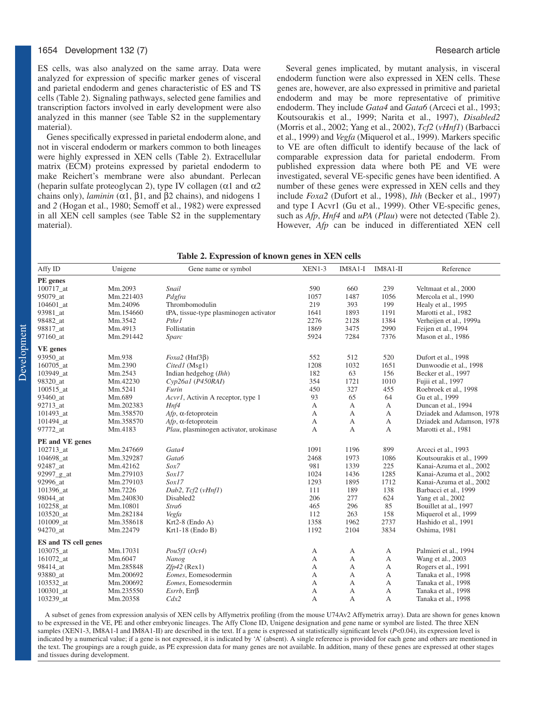ES cells, was also analyzed on the same array. Data were analyzed for expression of specific marker genes of visceral and parietal endoderm and genes characteristic of ES and TS cells (Table 2). Signaling pathways, selected gene families and transcription factors involved in early development were also analyzed in this manner (see Table S2 in the supplementary material).

Genes specifically expressed in parietal endoderm alone, and not in visceral endoderm or markers common to both lineages were highly expressed in XEN cells (Table 2). Extracellular matrix (ECM) proteins expressed by parietal endoderm to make Reichert's membrane were also abundant. Perlecan (heparin sulfate proteoglycan 2), type IV collagen ( $\alpha$ 1 and  $\alpha$ 2 chains only), *laminin* (α1, β1, and β2 chains), and nidogens 1 and *2* (Hogan et al., 1980; Semoff et al., 1982) were expressed in all XEN cell samples (see Table S2 in the supplementary material).

Several genes implicated, by mutant analysis, in visceral endoderm function were also expressed in XEN cells. These genes are, however, are also expressed in primitive and parietal endoderm and may be more representative of primitive endoderm. They include *Gata4* and *Gata6* (Arceci et al., 1993; Koutsourakis et al., 1999; Narita et al., 1997), *Disabled2* (Morris et al., 2002; Yang et al., 2002), *Tcf2* (*vHnf1*) (Barbacci et al., 1999) and *Vegfa* (Miquerol et al., 1999). Markers specific to VE are often difficult to identify because of the lack of comparable expression data for parietal endoderm. From published expression data where both PE and VE were investigated, several VE-specific genes have been identified. A number of these genes were expressed in XEN cells and they include *Foxa2* (Dufort et al., 1998), *Ihh* (Becker et al., 1997) and type I Acvr1 (Gu et al., 1999). Other VE-specific genes,

such as *Afp*, *Hnf4* and *uPA* (*Plau*) were not detected (Table 2). However, *Afp* can be induced in differentiated XEN cell

| Table 2. Expression of known genes in XEN cells |  |  |
|-------------------------------------------------|--|--|
|                                                 |  |  |

| Affy ID                            | Unigene   | Gene name or symbol                                                                                                                                      | XEN1-3       | $IM8A1-I$ | IM8A1-II     | Reference                 |
|------------------------------------|-----------|----------------------------------------------------------------------------------------------------------------------------------------------------------|--------------|-----------|--------------|---------------------------|
| PE genes                           |           |                                                                                                                                                          |              |           |              |                           |
| 100717_at                          | Mm.2093   | Snail                                                                                                                                                    | 590          | 660       | 239          | Veltmaat et al., 2000     |
| 95079_at                           | Mm.221403 | Pdgfra                                                                                                                                                   | 1057         | 1487      | 1056         | Mercola et al., 1990      |
| 104601 at                          | Mm.24096  | Thrombomodulin                                                                                                                                           | 219          | 393       | 199          | Healy et al., 1995        |
| 93981_at                           | Mm.154660 | tPA, tissue-type plasminogen activator                                                                                                                   | 1641         | 1893      | 1191         | Marotti et al., 1982      |
| 98482_at                           | Mm.3542   | Pthr1                                                                                                                                                    | 2276         | 2128      | 1384         | Verheijen et al., 1999a   |
| 98817 at                           | Mm.4913   | Follistatin                                                                                                                                              | 1869         | 3475      | 2990         | Feijen et al., 1994       |
| 97160_at                           | Mm.291442 | Sparc                                                                                                                                                    | 5924         | 7284      | 7376         | Mason et al., 1986        |
| <b>VE</b> genes                    |           |                                                                                                                                                          |              |           |              |                           |
| 93950_at                           | Mm.938    | $Foxa2$ (Hnf3 $\beta$ )                                                                                                                                  | 552          | 512       | 520          | Dufort et al., 1998       |
| 160705 at                          | Mm.2390   | Cited1 (Msg1)                                                                                                                                            | 1208         | 1032      | 1651         | Dunwoodie et al., 1998    |
| 103949 at                          | Mm.2543   | Indian hedgehog $(Ihh)$                                                                                                                                  | 182          | 63        | 156          | Becker et al., 1997       |
| 98320_at                           | Mm.42230  | $Cyp26a1$ (P450RAI)                                                                                                                                      | 354          | 1721      | 1010         | Fujii et al., 1997        |
| 100515 at                          | Mm.5241   | Furin                                                                                                                                                    | 450          | 327       | 455          | Roebroek et al., 1998     |
| 93460_at                           | Mm.689    | Acvr1, Activin A receptor, type 1                                                                                                                        | 93           | 65        | 64           | Gu et al., 1999           |
| 92713_at                           | Mm.202383 | Hnf4                                                                                                                                                     | A            | A         | A            | Duncan et al., 1994       |
| 101493_at                          | Mm.358570 | $Afp$ , $\alpha$ -fetoprotein                                                                                                                            | A            | А         | А            | Dziadek and Adamson, 1978 |
| 101494_at                          | Mm.358570 | $Afp$ , $\alpha$ -fetoprotein                                                                                                                            | A            | А         | A            | Dziadek and Adamson, 1978 |
| 97772_at                           | Mm.4183   | Plau, plasminogen activator, urokinase                                                                                                                   | A            | A         | A            | Marotti et al., 1981      |
| PE and VE genes                    |           |                                                                                                                                                          |              |           |              |                           |
| 102713_at                          | Mm.247669 | Gata4                                                                                                                                                    | 1091         | 1196      | 899          | Arceci et al., 1993       |
| 104698 at                          | Mm.329287 | Gata6                                                                                                                                                    | 2468         | 1973      | 1086         | Koutsourakis et al., 1999 |
| 92487_at                           | Mm.42162  | Sox7                                                                                                                                                     | 981          | 1339      | 225          | Kanai-Azuma et al., 2002  |
| 92997_g_at                         | Mm.279103 | Sox17                                                                                                                                                    | 1024         | 1436      | 1285         | Kanai-Azuma et al., 2002  |
| 92996 at                           | Mm.279103 | Sox17                                                                                                                                                    | 1293         | 1895      | 1712         | Kanai-Azuma et al., 2002  |
| 101396 at                          | Mm.7226   | Dab2, Tcf2 (vHnf1)                                                                                                                                       | 111          | 189       | 138          | Barbacci et al., 1999     |
| 98044 at                           | Mm.240830 | Disabled2                                                                                                                                                | 206          | 277       | 624          | Yang et al., 2002         |
| 102258_at                          | Mm.10801  | Stra6                                                                                                                                                    | 465          | 296       | 85           | Bouillet at al., 1997     |
| 103520_at                          | Mm.282184 | Vegfa                                                                                                                                                    | 112          | 263       | 158          | Miquerol et al., 1999     |
| 101009_at                          | Mm.358618 | $Krt2-8$ (Endo A)                                                                                                                                        | 1358         | 1962      | 2737         | Hashido et al., 1991      |
| 94270_at                           | Mm.22479  | $Krt1-18$ (Endo B)                                                                                                                                       | 1192         | 2104      | 3834         | Oshima, 1981              |
| <b>ES</b> and <b>TS</b> cell genes |           |                                                                                                                                                          |              |           |              |                           |
| 103075_at                          | Mm.17031  | Pou5f1 (Oct4)                                                                                                                                            | А            | А         | А            | Palmieri et al., 1994     |
| 161072_at                          | Mm.6047   | Nanog                                                                                                                                                    | A            | A         | A            | Wang et al., 2003         |
| 98414_at                           | Mm.285848 | $Zfp42$ (Rex1)                                                                                                                                           | A            | A         | $\mathbf{A}$ | Rogers et al., 1991       |
| 93880 at                           | Mm.200692 | Eomes, Eomesodermin                                                                                                                                      | $\mathbf{A}$ | A         | A            | Tanaka et al., 1998       |
| 103532_at                          | Mm.200692 | Eomes, Eomesodermin                                                                                                                                      | A            | A         | A            | Tanaka et al., 1998       |
| $100301$ _at                       | Mm.235550 | $\mathit{Exrrb}$ , $\mathit{Err}\beta$                                                                                                                   | А            | А         | А            | Tanaka et al., 1998       |
| 103239_at                          | Mm.20358  | Cdx2                                                                                                                                                     | A            | А         | A            | Tanaka et al., 1998       |
|                                    |           | A subset of genes from expression analysis of XEN cells by Affymetrix profiling (from the mouse IJ74Ay) Affymetrix array) Data are shown for genes known |              |           |              |                           |

A subset of genes from expression analysis of XEN cells by Affymetrix profiling (from the mouse U74Av2 Affymetrix array). Data are shown for genes known to be expressed in the VE, PE and other embryonic lineages. The Affy Clone ID, Unigene designation and gene name or symbol are listed. The three XEN samples (XEN1-3, IM8A1-I and IM8A1-II) are described in the text. If a gene is expressed at statistically significant levels (*P*<0.04), its expression level is indicated by a numerical value; if a gene is not expressed, it is indicated by 'A' (absent). A single reference is provided for each gene and others are mentioned in the text. The groupings are a rough guide, as PE expression data for many genes are not available. In addition, many of these genes are expressed at other stages and tissues during development.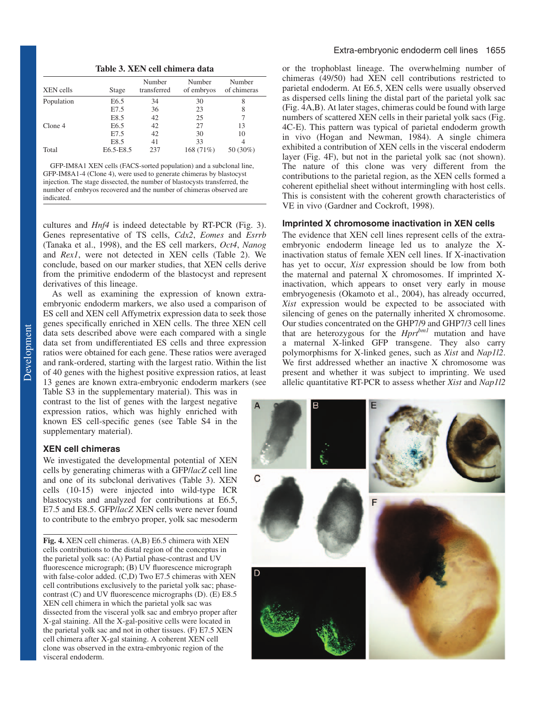**Table 3. XEN cell chimera data**

| XEN cells  | Stage            | Number<br>transferred | Number<br>of embryos | Number<br>of chimeras |
|------------|------------------|-----------------------|----------------------|-----------------------|
| Population | E <sub>6.5</sub> | 34                    | 30                   | 8                     |
|            | E7.5             | 36                    | 23                   | 8                     |
|            | E8.5             | 42                    | 25                   |                       |
| Clone 4    | E <sub>6.5</sub> | 42                    | 27                   | 13                    |
|            | E7.5             | 42                    | 30                   | 10                    |
|            | E8.5             | 41                    | 33                   |                       |
| Total      | E6.5-E8.5        | 237                   | 168 (71%)            | 50 (30%)              |

GFP-IM8A1 XEN cells (FACS-sorted population) and a subclonal line, GFP-IM8A1-4 (Clone 4), were used to generate chimeras by blastocyst injection. The stage dissected, the number of blastocysts transferred, the number of embryos recovered and the number of chimeras observed are indicated.

cultures and *Hnf4* is indeed detectable by RT-PCR (Fig. 3). Genes representative of TS cells, *Cdx2*, *Eomes* and *Esrrb* (Tanaka et al., 1998), and the ES cell markers, *Oct4*, *Nanog* and *Rex1*, were not detected in XEN cells (Table 2). We conclude, based on our marker studies, that XEN cells derive from the primitive endoderm of the blastocyst and represent derivatives of this lineage.

As well as examining the expression of known extraembryonic endoderm markers, we also used a comparison of ES cell and XEN cell Affymetrix expression data to seek those genes specifically enriched in XEN cells. The three XEN cell data sets described above were each compared with a single data set from undifferentiated ES cells and three expression ratios were obtained for each gene. These ratios were averaged and rank-ordered, starting with the largest ratio. Within the list of 40 genes with the highest positive expression ratios, at least 13 genes are known extra-embryonic endoderm markers (see

Table S3 in the supplementary material). This was in contrast to the list of genes with the largest negative expression ratios, which was highly enriched with known ES cell-specific genes (see Table S4 in the supplementary material).

# **XEN cell chimeras**

We investigated the developmental potential of XEN cells by generating chimeras with a GFP/*lacZ* cell line and one of its subclonal derivatives (Table 3). XEN cells (10-15) were injected into wild-type ICR blastocysts and analyzed for contributions at E6.5, E7.5 and E8.5. GFP/*lacZ* XEN cells were never found to contribute to the embryo proper, yolk sac mesoderm

**Fig. 4.** XEN cell chimeras. (A,B) E6.5 chimera with XEN cells contributions to the distal region of the conceptus in the parietal yolk sac: (A) Partial phase-contrast and UV fluorescence micrograph; (B) UV fluorescence micrograph with false-color added. (C,D) Two E7.5 chimeras with XEN cell contributions exclusively to the parietal yolk sac; phasecontrast (C) and UV fluorescence micrographs (D). (E) E8.5 XEN cell chimera in which the parietal yolk sac was dissected from the visceral yolk sac and embryo proper after X-gal staining. All the X-gal-positive cells were located in the parietal yolk sac and not in other tissues. (F) E7.5 XEN cell chimera after X-gal staining. A coherent XEN cell clone was observed in the extra-embryonic region of the visceral endoderm.

or the trophoblast lineage. The overwhelming number of chimeras (49/50) had XEN cell contributions restricted to parietal endoderm. At E6.5, XEN cells were usually observed as dispersed cells lining the distal part of the parietal yolk sac (Fig. 4A,B). At later stages, chimeras could be found with large numbers of scattered XEN cells in their parietal yolk sacs (Fig. 4C-E). This pattern was typical of parietal endoderm growth in vivo (Hogan and Newman, 1984). A single chimera exhibited a contribution of XEN cells in the visceral endoderm layer (Fig. 4F), but not in the parietal yolk sac (not shown). The nature of this clone was very different from the contributions to the parietal region, as the XEN cells formed a coherent epithelial sheet without intermingling with host cells. This is consistent with the coherent growth characteristics of VE in vivo (Gardner and Cockroft, 1998).

# **Imprinted X chromosome inactivation in XEN cells**

The evidence that XEN cell lines represent cells of the extraembryonic endoderm lineage led us to analyze the Xinactivation status of female XEN cell lines. If X-inactivation has yet to occur, *Xist* expression should be low from both the maternal and paternal X chromosomes. If imprinted Xinactivation, which appears to onset very early in mouse embryogenesis (Okamoto et al., 2004), has already occurred, *Xist* expression would be expected to be associated with silencing of genes on the paternally inherited X chromosome. Our studies concentrated on the GHP7/9 and GHP7/3 cell lines that are heterozygous for the *Hprtbm1* mutation and have a maternal X-linked GFP transgene. They also carry polymorphisms for X-linked genes, such as *Xist* and *Nap1l2*. We first addressed whether an inactive X chromosome was present and whether it was subject to imprinting. We used allelic quantitative RT-PCR to assess whether *Xist* and *Nap1l2*

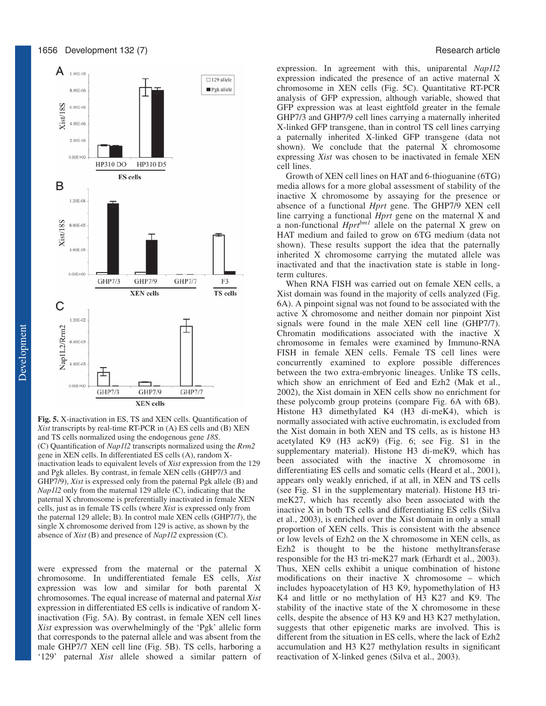



**Fig. 5.** X-inactivation in ES, TS and XEN cells. Quantification of *Xist* transcripts by real-time RT-PCR in (A) ES cells and (B) XEN and TS cells normalized using the endogenous gene *18S*. (C) Quantification of *Nap1l2* transcripts normalized using the *Rrm2* gene in XEN cells. In differentiated ES cells (A), random Xinactivation leads to equivalent levels of *Xist* expression from the 129 and Pgk alleles. By contrast, in female XEN cells (GHP7/3 and GHP7/9), *Xist* is expressed only from the paternal Pgk allele (B) and *Nap1l2* only from the maternal 129 allele (C), indicating that the paternal X chromosome is preferentially inactivated in female XEN cells, just as in female TS cells (where *Xist* is expressed only from the paternal 129 allele; B). In control male XEN cells (GHP7/7), the single X chromosome derived from 129 is active, as shown by the absence of *Xist* (B) and presence of *Nap1l2* expression (C).

were expressed from the maternal or the paternal X chromosome. In undifferentiated female ES cells, *Xist* expression was low and similar for both parental X chromosomes. The equal increase of maternal and paternal *Xist* expression in differentiated ES cells is indicative of random Xinactivation (Fig. 5A). By contrast, in female XEN cell lines *Xist* expression was overwhelmingly of the 'Pgk' allelic form that corresponds to the paternal allele and was absent from the male GHP7/7 XEN cell line (Fig. 5B). TS cells, harboring a '129' paternal *Xist* allele showed a similar pattern of expression. In agreement with this, uniparental *Nap1l2* expression indicated the presence of an active maternal X chromosome in XEN cells (Fig. 5C). Quantitative RT-PCR analysis of GFP expression, although variable, showed that GFP expression was at least eightfold greater in the female GHP7/3 and GHP7/9 cell lines carrying a maternally inherited X-linked GFP transgene, than in control TS cell lines carrying a paternally inherited X-linked GFP transgene (data not shown). We conclude that the paternal X chromosome expressing *Xist* was chosen to be inactivated in female XEN cell lines.

Growth of XEN cell lines on HAT and 6-thioguanine (6TG) media allows for a more global assessment of stability of the inactive X chromosome by assaying for the presence or absence of a functional *Hprt* gene. The GHP7/9 XEN cell line carrying a functional *Hprt* gene on the maternal X and a non-functional *Hprtbm1* allele on the paternal X grew on HAT medium and failed to grow on 6TG medium (data not shown). These results support the idea that the paternally inherited X chromosome carrying the mutated allele was inactivated and that the inactivation state is stable in longterm cultures.

When RNA FISH was carried out on female XEN cells, a Xist domain was found in the majority of cells analyzed (Fig. 6A). A pinpoint signal was not found to be associated with the active X chromosome and neither domain nor pinpoint Xist signals were found in the male XEN cell line (GHP7/7). Chromatin modifications associated with the inactive X chromosome in females were examined by Immuno-RNA FISH in female XEN cells. Female TS cell lines were concurrently examined to explore possible differences between the two extra-embryonic lineages. Unlike TS cells, which show an enrichment of Eed and Ezh2 (Mak et al., 2002), the Xist domain in XEN cells show no enrichment for these polycomb group proteins (compare Fig. 6A with 6B). Histone H3 dimethylated K4 (H3 di-meK4), which is normally associated with active euchromatin, is excluded from the Xist domain in both XEN and TS cells, as is histone H3 acetylated K9 (H3 acK9) (Fig. 6; see Fig. S1 in the supplementary material). Histone H3 di-meK9, which has been associated with the inactive X chromosome in differentiating ES cells and somatic cells (Heard et al., 2001), appears only weakly enriched, if at all, in XEN and TS cells (see Fig. S1 in the supplementary material). Histone H3 trimeK27, which has recently also been associated with the inactive X in both TS cells and differentiating ES cells (Silva et al., 2003), is enriched over the Xist domain in only a small proportion of XEN cells. This is consistent with the absence or low levels of Ezh2 on the X chromosome in XEN cells, as Ezh2 is thought to be the histone methyltransferase responsible for the H3 tri-meK27 mark (Erhardt et al., 2003). Thus, XEN cells exhibit a unique combination of histone modifications on their inactive X chromosome – which includes hypoacetylation of H3 K9, hypomethylation of H3 K4 and little or no methylation of H3 K27 and K9. The stability of the inactive state of the X chromosome in these cells, despite the absence of H3 K9 and H3 K27 methylation, suggests that other epigenetic marks are involved. This is different from the situation in ES cells, where the lack of Ezh2 accumulation and H3 K27 methylation results in significant reactivation of X-linked genes (Silva et al., 2003).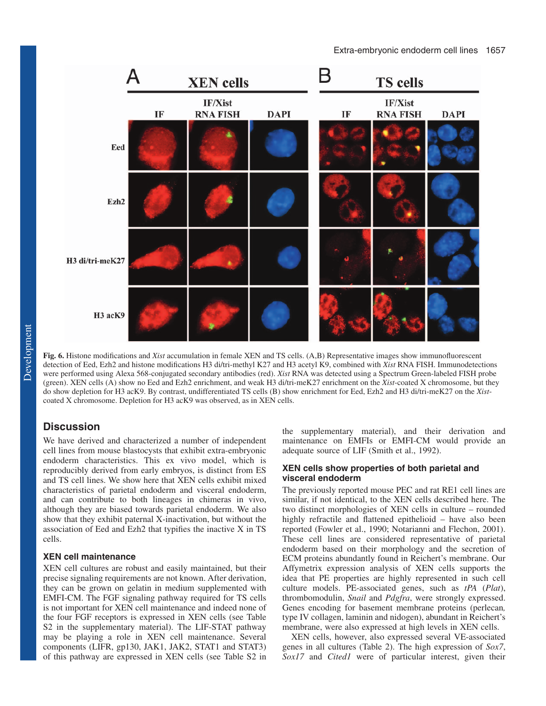

**Fig. 6.** Histone modifications and *Xist* accumulation in female XEN and TS cells. (A,B) Representative images show immunofluorescent detection of Eed, Ezh2 and histone modifications H3 di/tri-methyl K27 and H3 acetyl K9, combined with *Xist* RNA FISH. Immunodetections were performed using Alexa 568-conjugated secondary antibodies (red). *Xist* RNA was detected using a Spectrum Green-labeled FISH probe (green). XEN cells (A) show no Eed and Ezh2 enrichment, and weak H3 di/tri-meK27 enrichment on the *Xist*-coated X chromosome, but they do show depletion for H3 acK9. By contrast, undifferentiated TS cells (B) show enrichment for Eed, Ezh2 and H3 di/tri-meK27 on the *Xist*coated X chromosome. Depletion for H3 acK9 was observed, as in XEN cells.

# **Discussion**

We have derived and characterized a number of independent cell lines from mouse blastocysts that exhibit extra-embryonic endoderm characteristics. This ex vivo model, which is reproducibly derived from early embryos, is distinct from ES and TS cell lines. We show here that XEN cells exhibit mixed characteristics of parietal endoderm and visceral endoderm, and can contribute to both lineages in chimeras in vivo, although they are biased towards parietal endoderm. We also show that they exhibit paternal X-inactivation, but without the association of Eed and Ezh2 that typifies the inactive X in TS cells.

# **XEN cell maintenance**

XEN cell cultures are robust and easily maintained, but their precise signaling requirements are not known. After derivation, they can be grown on gelatin in medium supplemented with EMFI-CM. The FGF signaling pathway required for TS cells is not important for XEN cell maintenance and indeed none of the four FGF receptors is expressed in XEN cells (see Table S2 in the supplementary material). The LIF-STAT pathway may be playing a role in XEN cell maintenance. Several components (LIFR, gp130, JAK1, JAK2, STAT1 and STAT3) of this pathway are expressed in XEN cells (see Table S2 in the supplementary material), and their derivation and maintenance on EMFIs or EMFI-CM would provide an adequate source of LIF (Smith et al., 1992).

# **XEN cells show properties of both parietal and visceral endoderm**

The previously reported mouse PEC and rat RE1 cell lines are similar, if not identical, to the XEN cells described here. The two distinct morphologies of XEN cells in culture – rounded highly refractile and flattened epithelioid – have also been reported (Fowler et al., 1990; Notarianni and Flechon, 2001). These cell lines are considered representative of parietal endoderm based on their morphology and the secretion of ECM proteins abundantly found in Reichert's membrane. Our Affymetrix expression analysis of XEN cells supports the idea that PE properties are highly represented in such cell culture models. PE-associated genes, such as *tPA* (*Plat*), thrombomodulin, *Snail* and *Pdgfra*, were strongly expressed. Genes encoding for basement membrane proteins (perlecan*,* type IV collagen, laminin and nidogen), abundant in Reichert's membrane, were also expressed at high levels in XEN cells.

XEN cells, however, also expressed several VE-associated genes in all cultures (Table 2). The high expression of *Sox7*, *Sox17* and *Cited1* were of particular interest, given their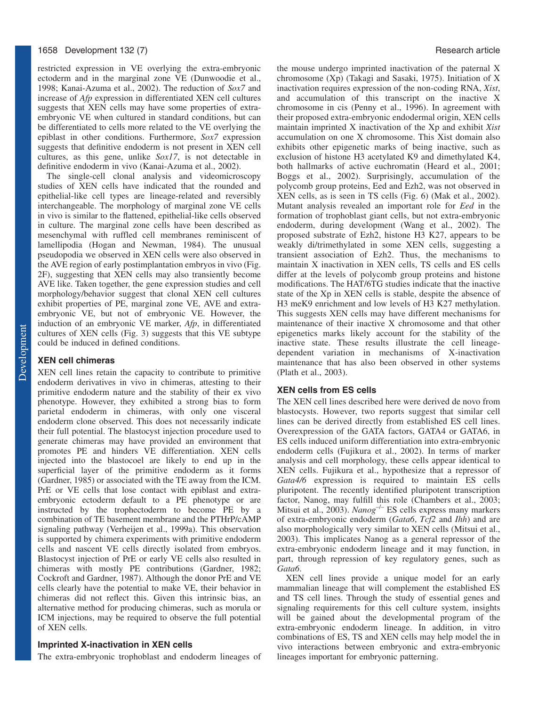# 1658 Development 132 (7) Research article

restricted expression in VE overlying the extra-embryonic ectoderm and in the marginal zone VE (Dunwoodie et al., 1998; Kanai-Azuma et al., 2002). The reduction of *Sox7* and increase of *Afp* expression in differentiated XEN cell cultures suggests that XEN cells may have some properties of extraembryonic VE when cultured in standard conditions, but can be differentiated to cells more related to the VE overlying the epiblast in other conditions. Furthermore, *Sox7* expression suggests that definitive endoderm is not present in XEN cell cultures, as this gene, unlike *Sox17*, is not detectable in definitive endoderm in vivo (Kanai-Azuma et al., 2002).

The single-cell clonal analysis and videomicroscopy studies of XEN cells have indicated that the rounded and epithelial-like cell types are lineage-related and reversibly interchangeable. The morphology of marginal zone VE cells in vivo is similar to the flattened, epithelial-like cells observed in culture. The marginal zone cells have been described as mesenchymal with ruffled cell membranes reminiscent of lamellipodia (Hogan and Newman, 1984). The unusual pseudopodia we observed in XEN cells were also observed in the AVE region of early postimplantation embryos in vivo (Fig. 2F), suggesting that XEN cells may also transiently become AVE like. Taken together, the gene expression studies and cell morphology/behavior suggest that clonal XEN cell cultures exhibit properties of PE, marginal zone VE, AVE and extraembryonic VE, but not of embryonic VE. However, the induction of an embryonic VE marker, *Afp*, in differentiated cultures of XEN cells (Fig. 3) suggests that this VE subtype could be induced in defined conditions.

# **XEN cell chimeras**

XEN cell lines retain the capacity to contribute to primitive endoderm derivatives in vivo in chimeras, attesting to their primitive endoderm nature and the stability of their ex vivo phenotype. However, they exhibited a strong bias to form parietal endoderm in chimeras, with only one visceral endoderm clone observed. This does not necessarily indicate their full potential. The blastocyst injection procedure used to generate chimeras may have provided an environment that promotes PE and hinders VE differentiation. XEN cells injected into the blastocoel are likely to end up in the superficial layer of the primitive endoderm as it forms (Gardner, 1985) or associated with the TE away from the ICM. PrE or VE cells that lose contact with epiblast and extraembryonic ectoderm default to a PE phenotype or are instructed by the trophectoderm to become PE by a combination of TE basement membrane and the PTHrP/cAMP signaling pathway (Verheijen et al., 1999a). This observation is supported by chimera experiments with primitive endoderm cells and nascent VE cells directly isolated from embryos. Blastocyst injection of PrE or early VE cells also resulted in chimeras with mostly PE contributions (Gardner, 1982; Cockroft and Gardner, 1987). Although the donor PrE and VE cells clearly have the potential to make VE, their behavior in chimeras did not reflect this. Given this intrinsic bias, an alternative method for producing chimeras, such as morula or ICM injections, may be required to observe the full potential of XEN cells.

# **Imprinted X-inactivation in XEN cells**

The extra-embryonic trophoblast and endoderm lineages of

the mouse undergo imprinted inactivation of the paternal X chromosome (Xp) (Takagi and Sasaki, 1975). Initiation of X inactivation requires expression of the non-coding RNA, *Xist*, and accumulation of this transcript on the inactive X chromosome in cis (Penny et al., 1996). In agreement with their proposed extra-embryonic endodermal origin, XEN cells maintain imprinted X inactivation of the Xp and exhibit *Xist* accumulation on one X chromosome. This Xist domain also exhibits other epigenetic marks of being inactive, such as exclusion of histone H3 acetylated K9 and dimethylated K4, both hallmarks of active euchromatin (Heard et al., 2001; Boggs et al., 2002). Surprisingly, accumulation of the polycomb group proteins, Eed and Ezh2, was not observed in XEN cells, as is seen in TS cells (Fig. 6) (Mak et al., 2002). Mutant analysis revealed an important role for *Eed* in the formation of trophoblast giant cells, but not extra-embryonic endoderm, during development (Wang et al., 2002). The proposed substrate of Ezh2, histone H3 K27, appears to be weakly di/trimethylated in some XEN cells, suggesting a transient association of Ezh2. Thus, the mechanisms to maintain X inactivation in XEN cells, TS cells and ES cells differ at the levels of polycomb group proteins and histone modifications. The HAT/6TG studies indicate that the inactive state of the Xp in XEN cells is stable, despite the absence of H3 meK9 enrichment and low levels of H3 K27 methylation. This suggests XEN cells may have different mechanisms for maintenance of their inactive X chromosome and that other epigenetics marks likely account for the stability of the inactive state. These results illustrate the cell lineagedependent variation in mechanisms of X-inactivation maintenance that has also been observed in other systems (Plath et al., 2003).

## **XEN cells from ES cells**

The XEN cell lines described here were derived de novo from blastocysts. However, two reports suggest that similar cell lines can be derived directly from established ES cell lines. Overexpression of the GATA factors, GATA4 or GATA6, in ES cells induced uniform differentiation into extra-embryonic endoderm cells (Fujikura et al., 2002). In terms of marker analysis and cell morphology, these cells appear identical to XEN cells. Fujikura et al., hypothesize that a repressor of *Gata4/6* expression is required to maintain ES cells pluripotent. The recently identified pluripotent transcription factor, Nanog, may fulfill this role (Chambers et al., 2003; Mitsui et al., 2003). *Nanog*<sup>-/-</sup> ES cells express many markers of extra-embryonic endoderm (*Gata6*, *Tcf2* and *Ihh*) and are also morphologically very similar to XEN cells (Mitsui et al., 2003). This implicates Nanog as a general repressor of the extra-embryonic endoderm lineage and it may function, in part, through repression of key regulatory genes, such as *Gata6*.

XEN cell lines provide a unique model for an early mammalian lineage that will complement the established ES and TS cell lines. Through the study of essential genes and signaling requirements for this cell culture system, insights will be gained about the developmental program of the extra-embryonic endoderm lineage. In addition, in vitro combinations of ES, TS and XEN cells may help model the in vivo interactions between embryonic and extra-embryonic lineages important for embryonic patterning.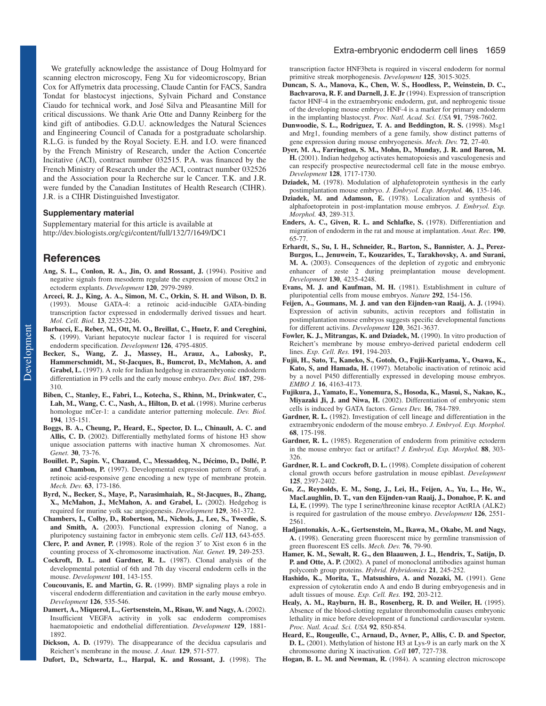We gratefully acknowledge the assistance of Doug Holmyard for scanning electron microscopy, Feng Xu for videomicroscopy, Brian Cox for Affymetrix data processing, Claude Cantin for FACS, Sandra Tondat for blastocyst injections, Sylvain Pichard and Constance Ciaudo for technical work, and José Silva and Pleasantine Mill for critical discussions. We thank Arie Otte and Danny Reinberg for the kind gift of antibodies. G.D.U. acknowledges the Natural Sciences and Engineering Council of Canada for a postgraduate scholarship. R.L.G. is funded by the Royal Society. E.H. and I.O. were financed by the French Ministry of Research, under the Action Concertée Incitative (ACI), contract number 032515. P.A. was financed by the French Ministry of Research under the ACI, contract number 032526 and the Association pour la Recherche sur le Cancer. T.K. and J.R. were funded by the Canadian Institutes of Health Research (CIHR). J.R. is a CIHR Distinguished Investigator.

#### **Supplementary material**

Supplementary material for this article is available at http://dev.biologists.org/cgi/content/full/132/7/1649/DC1

# **References**

- **Ang, S. L., Conlon, R. A., Jin, O. and Rossant, J.** (1994). Positive and negative signals from mesoderm regulate the expression of mouse Otx2 in ectoderm explants. *Development* **120**, 2979-2989.
- **Arceci, R. J., King, A. A., Simon, M. C., Orkin, S. H. and Wilson, D. B.** (1993). Mouse GATA-4: a retinoic acid-inducible GATA-binding transcription factor expressed in endodermally derived tissues and heart. *Mol. Cell. Biol.* **13**, 2235-2246.
- **Barbacci, E., Reber, M., Ott, M. O., Breillat, C., Huetz, F. and Cereghini, S.** (1999). Variant hepatocyte nuclear factor 1 is required for visceral endoderm specification. *Development* **126**, 4795-4805.
- **Becker, S., Wang, Z. J., Massey, H., Arauz, A., Labosky, P., Hammerschmidt, M., St-Jacques, B., Bumcrot, D., McMahon, A. and Grabel, L.** (1997). A role for Indian hedgehog in extraembryonic endoderm differentiation in F9 cells and the early mouse embryo. *Dev. Biol.* **187**, 298- 310.
- **Biben, C., Stanley, E., Fabri, L., Kotecha, S., Rhinn, M., Drinkwater, C.,** Lah, M., Wang, C. C., Nash, A., Hilton, D. et al. (1998). Murine cerberus homologue mCer-1: a candidate anterior patterning molecule. *Dev. Biol.* **194**, 135-151.
- **Boggs, B. A., Cheung, P., Heard, E., Spector, D. L., Chinault, A. C. and Allis, C. D.** (2002). Differentially methylated forms of histone H3 show unique association patterns with inactive human X chromosomes. *Nat. Genet.* **30**, 73-76.
- **Bouillet. P., Sapin. V., Chazaud, C., Messaddeq, N., Décimo, D., Dollé, P. and Chambon, P.** (1997). Developmental expression pattern of Stra6, a retinoic acid-responsive gene encoding a new type of membrane protein. *Mech. Dev.* **63**, 173-186.
- **Byrd, N., Becker, S., Maye, P., Narasimhaiah, R., St-Jacques, B., Zhang, X., McMahon, J., McMahon, A. and Grabel, L.** (2002). Hedgehog is required for murine yolk sac angiogenesis. *Development* **129**, 361-372.
- **Chambers, I., Colby, D., Robertson, M., Nichols, J., Lee, S., Tweedie, S. and Smith, A.** (2003). Functional expression cloning of Nanog, a pluripotency sustaining factor in embryonic stem cells. *Cell* **113**, 643-655.
- **Clerc, P. and Avner, P.** (1998). Role of the region 3′ to Xist exon 6 in the counting process of X-chromosome inactivation. *Nat. Genet.* **19**, 249-253.
- **Cockroft, D. L. and Gardner, R. L.** (1987). Clonal analysis of the developmental potential of 6th and 7th day visceral endoderm cells in the mouse. *Development* **101**, 143-155.
- **Coucouvanis, E. and Martin, G. R.** (1999). BMP signaling plays a role in visceral endoderm differentiation and cavitation in the early mouse embryo. *Development* **126**, 535-546.
- **Damert, A., Miquerol, L., Gertsenstein, M., Risau, W. and Nagy, A.** (2002). Insufficient VEGFA activity in yolk sac endoderm compromises haematopoietic and endothelial differentiation. *Development* **129**, 1881- 1892.
- **Dickson, A. D.** (1979). The disappearance of the decidua capsularis and Reichert's membrane in the mouse. *J. Anat.* **129**, 571-577.
- **Dufort, D., Schwartz, L., Harpal, K. and Rossant, J.** (1998). The

#### Extra-embryonic endoderm cell lines 1659

transcription factor HNF3beta is required in visceral endoderm for normal primitive streak morphogenesis. *Development* **125**, 3015-3025.

- **Duncan, S. A., Manova, K., Chen, W. S., Hoodless, P., Weinstein, D. C., Bachvarova, R. F. and Darnell, J. E. Jr** (1994). Expression of transcription factor HNF-4 in the extraembryonic endoderm, gut, and nephrogenic tissue of the developing mouse embryo: HNF-4 is a marker for primary endoderm in the implanting blastocyst. *Proc. Natl. Acad. Sci. USA* **91**, 7598-7602.
- **Dunwoodie, S. L., Rodriguez, T. A. and Beddington, R. S.** (1998). Msg1 and Mrg1, founding members of a gene family, show distinct patterns of gene expression during mouse embryogenesis. *Mech. Dev.* **72**, 27-40.
- **Dyer, M. A., Farrington, S. M., Mohn, D., Munday, J. R. and Baron, M. H.** (2001). Indian hedgehog activates hematopoiesis and vasculogenesis and can respecify prospective neurectodermal cell fate in the mouse embryo. *Development* **128**, 1717-1730.
- **Dziadek, M.** (1978). Modulation of alphafetoprotein synthesis in the early postimplantation mouse embryo. *J. Embryol. Exp. Morphol.* **46**, 135-146.
- **Dziadek, M. and Adamson, E.** (1978). Localization and synthesis of alphafoetoprotein in post-implantation mouse embryos. *J. Embryol. Exp. Morphol.* **43**, 289-313.
- **Enders, A. C., Given, R. L. and Schlafke, S.** (1978). Differentiation and migration of endoderm in the rat and mouse at implantation. *Anat. Rec.* **190**, 65-77.
- **Erhardt, S., Su, I. H., Schneider, R., Barton, S., Bannister, A. J., Perez-Burgos, L., Jenuwein, T., Kouzarides, T., Tarakhovsky, A. and Surani, M. A.** (2003). Consequences of the depletion of zygotic and embryonic enhancer of zeste 2 during preimplantation mouse development. *Development* **130**, 4235-4248.
- **Evans, M. J. and Kaufman, M. H.** (1981). Establishment in culture of pluripotential cells from mouse embryos. *Nature* **292**, 154-156.
- **Feijen, A., Goumans, M. J. and van den Eijnden-van Raaij, A. J.** (1994). Expression of activin subunits, activin receptors and follistatin in postimplantation mouse embryos suggests specific developmental functions for different activins. *Development* **120**, 3621-3637.
- Fowler, K. J., Mitrangas, K. and Dziadek, M. (1990). In vitro production of Reichert's membrane by mouse embryo-derived parietal endoderm cell lines. *Exp. Cell. Res.* **191**, 194-203.
- **Fujii, H., Sato, T., Kaneko, S., Gotoh, O., Fujii-Kuriyama, Y., Osawa, K.,** Kato, S, and Hamada, H. (1997). Metabolic inactivation of retinoic acid by a novel P450 differentially expressed in developing mouse embryos. *EMBO J.* **16**, 4163-4173.
- **Fujikura, J., Yamato, E., Yonemura, S., Hosoda, K., Masui, S., Nakao, K., Miyazaki Ji, J. and Niwa, H.** (2002). Differentiation of embryonic stem cells is induced by GATA factors. *Genes Dev.* **16**, 784-789.
- Gardner, R. L. (1982). Investigation of cell lineage and differentiation in the extraembryonic endoderm of the mouse embryo. *J. Embryol. Exp. Morphol.* **68**, 175-198.
- Gardner, R. L. (1985). Regeneration of endoderm from primitive ectoderm in the mouse embryo: fact or artifact? *J. Embryol. Exp. Morphol.* **88**, 303- 326.
- Gardner, R. L. and Cockroft, D. L. (1998). Complete dissipation of coherent clonal growth occurs before gastrulation in mouse epiblast. *Development* **125**, 2397-2402.
- **Gu, Z., Reynolds, E. M., Song, J., Lei, H., Feijen, A., Yu, L., He, W., MacLaughlin, D. T., van den Eijnden-van Raaij, J., Donahoe, P. K. and Li, E.** (1999). The type I serine/threonine kinase receptor ActRIA (ALK2) is required for gastrulation of the mouse embryo. *Development* **126**, 2551- 2561.
- **Hadjantonakis, A.-K., Gertsenstein, M., Ikawa, M., Okabe, M. and Nagy, A.** (1998). Generating green fluorescent mice by germline transmission of green fluorescent ES cells. *Mech. Dev.* **76**, 79-90.
- **Hamer, K. M., Sewalt, R. G., den Blaauwen, J. L., Hendrix, T., Satijn, D. P. and Otte, A. P.** (2002). A panel of monoclonal antibodies against human polycomb group proteins. *Hybrid. Hybridomics* **21**, 245-252.
- **Hashido, K., Morita, T., Matsushiro, A. and Nozaki, M.** (1991). Gene expression of cytokeratin endo A and endo B during embryogenesis and in adult tissues of mouse. *Exp. Cell. Res.* **192**, 203-212.
- **Healy, A. M., Rayburn, H. B., Rosenberg, R. D. and Weiler, H.** (1995). Absence of the blood-clotting regulator thrombomodulin causes embryonic lethality in mice before development of a functional cardiovascular system. *Proc. Natl. Acad. Sci. USA* **92**, 850-854.
- **Heard, E., Rougeulle, C., Arnaud, D., Avner, P., Allis, C. D. and Spector, D. L.** (2001). Methylation of histone H3 at Lys-9 is an early mark on the X chromosome during X inactivation. *Cell* **107**, 727-738.
- **Hogan, B. L. M. and Newman, R.** (1984). A scanning electron microscope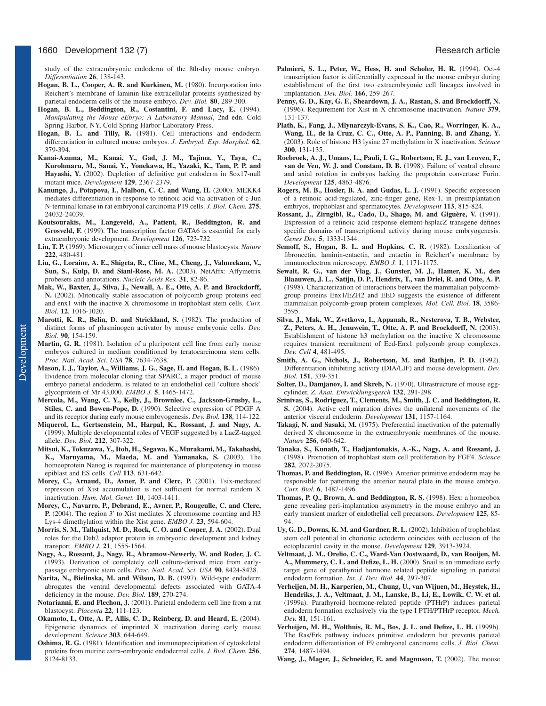study of the extraembryonic endoderm of the 8th-day mouse embryo. *Differentiation* **26**, 138-143.

- Hogan, B. L., Cooper, A. R. and Kurkinen, M. (1980). Incorporation into Reichert's membrane of laminin-like extracellular proteins synthesized by parietal endoderm cells of the mouse embryo. *Dev. Biol.* **80**, 289-300.
- **Hogan, B. L., Beddington, R., Costantini, F. and Lacy, E.** (1994). *Manipulating the Mouse eEbryo: A Laboratory Manual*, 2nd edn. Cold Spring Harbor, NY, Cold Spring Harbor Laboratory Press.
- **Hogan, B. L. and Tilly, R.** (1981). Cell interactions and endoderm differentiation in cultured mouse embryos. *J. Embryol. Exp. Morphol.* **62**, 379-394.
- **Kanai-Azuma, M., Kanai, Y., Gad, J. M., Tajima, Y., Taya, C., Kurohmaru, M., Sanai, Y., Yonekawa, H., Yazaki, K., Tam, P. P. and Hayashi, Y.** (2002). Depletion of definitive gut endoderm in Sox17-null mutant mice. *Development* **129**, 2367-2379.
- Kanungo, J., Potapova, I., Malbon, C. C. and Wang, H. (2000). MEKK4 mediates differentiation in response to retinoic acid via activation of c-Jun N-terminal kinase in rat embryonal carcinoma P19 cells. *J. Biol. Chem.* **275**, 24032-24039.
- **Koutsourakis, M., Langeveld, A., Patient, R., Beddington, R. and Grosveld, F.** (1999). The transcription factor GATA6 is essential for early extraembryonic development. *Development* **126**, 723-732.
- **Lin, T. P.** (1969). Microsurgery of inner cell mass of mouse blastocysts. *Nature* **222**, 480-481.
- **Liu, G., Loraine, A. E., Shigeta, R., Cline, M., Cheng, J., Valmeekam, V., Sun, S., Kulp, D. and Siani-Rose, M. A.** (2003). NetAffx: Affymetrix probesets and annotations. *Nucleic Acids Res.* **31**, 82-86.
- **Mak, W., Baxter, J., Silva, J., Newall, A. E., Otte, A. P. and Brockdorff, N.** (2002). Mitotically stable association of polycomb group proteins eed and enx1 with the inactive X chromosome in trophoblast stem cells. *Curr. Biol.* **12**, 1016-1020.
- Marotti, K. R., Belin, D. and Strickland, S. (1982). The production of distinct forms of plasminogen activator by mouse embryonic cells. *Dev. Biol.* **90**, 154-159.
- **Martin, G. R.** (1981). Isolation of a pluripotent cell line from early mouse embryos cultured in medium conditioned by teratocarcinoma stem cells. *Proc. Natl. Acad. Sci. USA* **78**, 7634-7638.
- **Mason, I. J., Taylor, A., Williams, J. G., Sage, H. and Hogan, B. L.** (1986). Evidence from molecular cloning that SPARC, a major product of mouse embryo parietal endoderm, is related to an endothelial cell 'culture shock' glycoprotein of Mr 43,000. *EMBO J.* **5**, 1465-1472.
- **Mercola, M., Wang, C. Y., Kelly, J., Brownlee, C., Jackson-Grusby, L., Stiles, C. and Bowen-Pope, D.** (1990). Selective expression of PDGF A and its receptor during early mouse embryogenesis. *Dev. Biol.* **138**, 114-122.
- **Miquerol, L., Gertsenstein, M., Harpal, K., Rossant, J. and Nagy, A.** (1999). Multiple developmental roles of VEGF suggested by a LacZ-tagged allele. *Dev. Biol.* **212**, 307-322.
- **Mitsui, K., Tokuzawa, Y., Itoh, H., Segawa, K., Murakami, M., Takahashi, K., Maruyama, M., Maeda, M. and Yamanaka, S.** (2003). The homeoprotein Nanog is required for maintenance of pluripotency in mouse epiblast and ES cells. *Cell* **113**, 631-642.
- **Morey, C., Arnaud, D., Avner, P. and Clerc, P.** (2001). Tsix-mediated repression of Xist accumulation is not sufficient for normal random X inactivation. *Hum. Mol. Genet.* **10**, 1403-1411.
- **Morey, C., Navarro, P., Debrand, E., Avner, P., Rougeulle, C. and Clerc, P.** (2004). The region 3′ to Xist mediates X chromosome counting and H3 Lys-4 dimethylation within the Xist gene. *EMBO J.* **23**, 594-604.
- **Morris, S. M., Tallquist, M. D., Rock, C. O. and Cooper, J. A.** (2002). Dual roles for the Dab2 adaptor protein in embryonic development and kidney transport. *EMBO J.* **21**, 1555-1564.
- **Nagy, A., Rossant, J., Nagy, R., Abramow-Newerly, W. and Roder, J. C.** (1993). Derivation of completely cell culture-derived mice from earlypassage embryonic stem cells. *Proc. Natl. Acad. Sci. USA* **90**, 8424-8428.
- Narita, N., Bielinska, M. and Wilson, D. B. (1997). Wild-type endoderm abrogates the ventral developmental defects associated with GATA-4 deficiency in the mouse. *Dev. Biol.* **189**, 270-274.
- **Notarianni, E. and Flechon, J.** (2001). Parietal endoderm cell line from a rat blastocyst. *Placenta* **22**, 111-123.
- **Okamoto, I., Otte, A. P., Allis, C. D., Reinberg, D. and Heard, E.** (2004). Epigenetic dynamics of imprinted X inactivation during early mouse development. *Science* **303**, 644-649.
- **Oshima, R. G.** (1981). Identification and immunoprecipitation of cytoskeletal proteins from murine extra-embryonic endodermal cells. *J. Biol. Chem.* **256**, 8124-8133.
- **Palmieri, S. L., Peter, W., Hess, H. and Scholer, H. R.** (1994). Oct-4 transcription factor is differentially expressed in the mouse embryo during establishment of the first two extraembryonic cell lineages involved in implantation. *Dev. Biol.* **166**, 259-267.
- **Penny, G. D., Kay, G. F., Sheardown, J. A., Rastan, S. and Brockdorff, N.** (1996). Requirement for Xist in X chromosome inactivation. *Nature* **379**, 131-137.
- **Plath, K., Fang, J., Mlynarczyk-Evans, S. K., Cao, R., Worringer, K. A., Wang, H., de la Cruz, C. C., Otte, A. P., Panning, B. and Zhang, Y.** (2003). Role of histone H3 lysine 27 methylation in X inactivation. *Science* **300**, 131-135.
- **Roebroek, A. J., Umans, L., Pauli, I. G., Robertson, E. J., van Leuven, F., van de Ven, W. J. and Constam, D. B.** (1998). Failure of ventral closure and axial rotation in embryos lacking the proprotein convertase Furin. *Development* **125**, 4863-4876.
- **Rogers, M. B., Hosler, B. A. and Gudas, L. J.** (1991). Specific expression of a retinoic acid-regulated, zinc-finger gene, Rex-1, in preimplantation embryos, trophoblast and spermatocytes. *Development* **113**, 815-824.
- **Rossant, J., Zirngibl, R., Cado, D., Shago, M. and Giguère, V.** (1991). Expression of a retinoic acid response element-hsplacZ transgene defines specific domains of transcriptional activity during mouse embryogenesis. *Genes Dev.* **5**, 1333-1344.
- Semoff, S., Hogan, B. L. and Hopkins, C. R. (1982). Localization of fibronectin, laminin-entactin, and entactin in Reichert's membrane by immunoelectron microscopy. *EMBO J.* **1**, 1171-1175.
- **Sewalt, R. G., van der Vlag, J., Gunster, M. J., Hamer, K. M., den Blaauwen, J. L., Satijn, D. P., Hendrix, T., van Driel, R. and Otte, A. P.** (1998). Characterization of interactions between the mammalian polycombgroup proteins Enx1/EZH2 and EED suggests the existence of different mammalian polycomb-group protein complexes. *Mol. Cell. Biol.* **18**, 3586- 3595.
- **Silva, J., Mak, W., Zvetkova, I., Appanah, R., Nesterova, T. B., Webster, Z., Peters, A. H., Jenuwein, T., Otte, A. P. and Brockdorff, N.** (2003). Establishment of histone h3 methylation on the inactive X chromosome requires transient recruitment of Eed-Enx1 polycomb group complexes. *Dev. Cell* **4**, 481-495.
- **Smith, A. G., Nichols, J., Robertson, M. and Rathjen, P. D.** (1992). Differentiation inhibiting activity (DIA/LIF) and mouse development. *Dev. Biol.* **151**, 339-351.
- Solter, D., Damjanov, I. and Skreb, N. (1970). Ultrastructure of mouse eggcylinder. *Z. Anat. Entwicklungsgesch* **132**, 291-298.
- **Srinivas, S., Rodriguez, T., Clements, M., Smith, J. C. and Beddington, R. S.** (2004). Active cell migration drives the unilateral movements of the anterior visceral endoderm. *Development* **131**, 1157-1164.
- Takagi, N. and Sasaki, M. (1975). Preferential inactivation of the paternally derived X chromosome in the extraembryonic membranes of the mouse. *Nature* **256**, 640-642.
- **Tanaka, S., Kunath, T., Hadjantonakis, A.-K., Nagy, A. and Rossant, J.** (1998). Promotion of trophoblast stem cell proliferation by FGF4. *Science* **282**, 2072-2075.
- **Thomas, P. and Beddington, R.** (1996). Anterior primitive endoderm may be responsible for patterning the anterior neural plate in the mouse embryo. *Curr. Biol.* **6**, 1487-1496.
- **Thomas, P. Q., Brown, A. and Beddington, R. S.** (1998). Hex: a homeobox gene revealing peri-implantation asymmetry in the mouse embryo and an early transient marker of endothelial cell precursors. *Development* **125**, 85- 94.
- Uy, G. D., Downs, K. M. and Gardner, R. L. (2002). Inhibition of trophoblast stem cell potential in chorionic ectoderm coincides with occlusion of the ectoplacental cavity in the mouse. *Development* **129**, 3913-3924.
- **Veltmaat, J. M., Orelio, C. C., Ward-Van Oostwaard, D., van Rooijen, M.** A., Mummery, C. L. and Defize, L. H. (2000). Snail is an immediate early target gene of parathyroid hormone related peptide signaling in parietal endoderm formation. *Int. J. Dev. Biol.* **44**, 297-307.
- **Verheijen, M. H., Karperien, M., Chung, U., van Wijuen, M., Heystek, H., Hendriks, J. A., Veltmaat, J. M., Lanske, B., Li, E., Lowik, C. W. et al.** (1999a). Parathyroid hormone-related peptide (PTHrP) induces parietal endoderm formation exclusively via the type I PTH/PTHrP receptor. *Mech. Dev.* **81**, 151-161.
- **Verheijen, M. H., Wolthuis, R. M., Bos, J. L. and Defize, L. H.** (1999b). The Ras/Erk pathway induces primitive endoderm but prevents parietal endoderm differentiation of F9 embryonal carcinoma cells. *J. Biol. Chem.* **274**, 1487-1494.
- Wang, J., Mager, J., Schneider, E. and Magnuson, T. (2002). The mouse